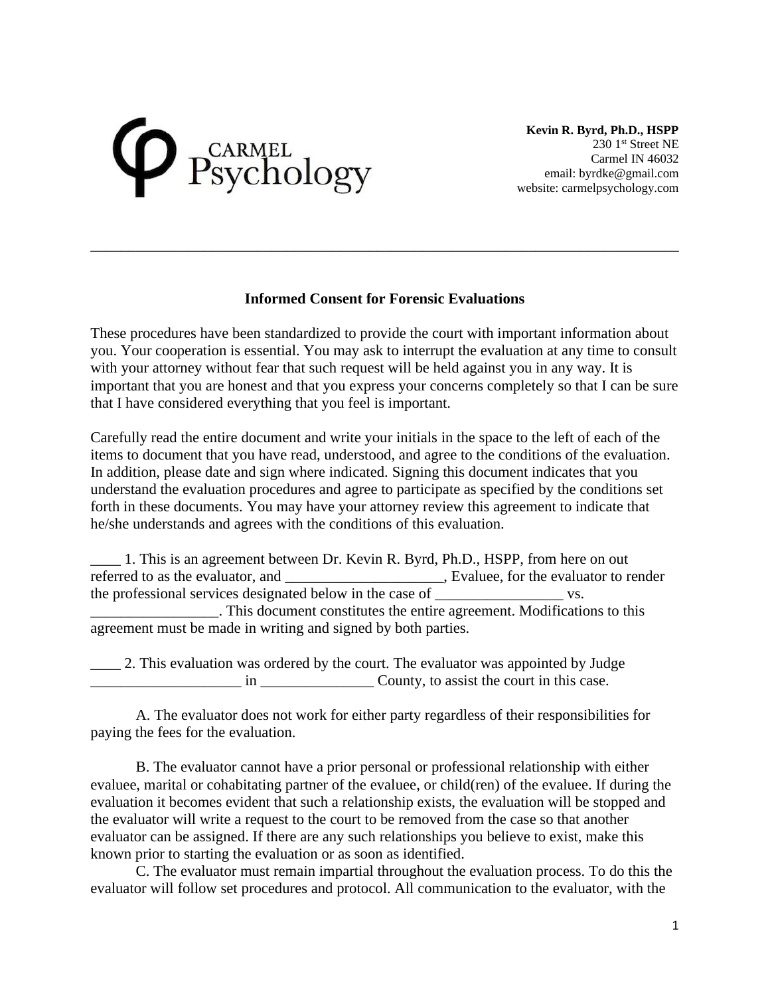## CARMEL<br>Sychology

**Kevin R. Byrd, Ph.D., HSPP** 230 1<sup>st</sup> Street NE Carmel IN 46032 email: byrdke@gmail.com website: carmelpsychology.com

## **Informed Consent for Forensic Evaluations**

\_\_\_\_\_\_\_\_\_\_\_\_\_\_\_\_\_\_\_\_\_\_\_\_\_\_\_\_\_\_\_\_\_\_\_\_\_\_\_\_\_\_\_\_\_\_\_\_\_\_\_\_\_\_\_\_\_\_\_\_\_\_\_\_\_\_\_\_\_\_\_\_\_\_\_\_\_\_

These procedures have been standardized to provide the court with important information about you. Your cooperation is essential. You may ask to interrupt the evaluation at any time to consult with your attorney without fear that such request will be held against you in any way. It is important that you are honest and that you express your concerns completely so that I can be sure that I have considered everything that you feel is important.

Carefully read the entire document and write your initials in the space to the left of each of the items to document that you have read, understood, and agree to the conditions of the evaluation. In addition, please date and sign where indicated. Signing this document indicates that you understand the evaluation procedures and agree to participate as specified by the conditions set forth in these documents. You may have your attorney review this agreement to indicate that he/she understands and agrees with the conditions of this evaluation.

\_\_\_\_ 1. This is an agreement between Dr. Kevin R. Byrd, Ph.D., HSPP, from here on out referred to as the evaluator, and \_\_\_\_\_\_\_\_\_\_\_\_\_\_\_\_\_\_\_\_, Evaluee, for the evaluator to render the professional services designated below in the case of **we** vs. \_\_\_\_\_\_\_\_\_\_\_\_\_\_\_\_\_. This document constitutes the entire agreement. Modifications to this agreement must be made in writing and signed by both parties.

\_\_\_\_ 2. This evaluation was ordered by the court. The evaluator was appointed by Judge \_\_\_\_\_\_\_\_\_\_\_\_\_\_\_\_\_\_\_\_ in \_\_\_\_\_\_\_\_\_\_\_\_\_\_\_ County, to assist the court in this case.

A. The evaluator does not work for either party regardless of their responsibilities for paying the fees for the evaluation.

B. The evaluator cannot have a prior personal or professional relationship with either evaluee, marital or cohabitating partner of the evaluee, or child(ren) of the evaluee. If during the evaluation it becomes evident that such a relationship exists, the evaluation will be stopped and the evaluator will write a request to the court to be removed from the case so that another evaluator can be assigned. If there are any such relationships you believe to exist, make this known prior to starting the evaluation or as soon as identified.

C. The evaluator must remain impartial throughout the evaluation process. To do this the evaluator will follow set procedures and protocol. All communication to the evaluator, with the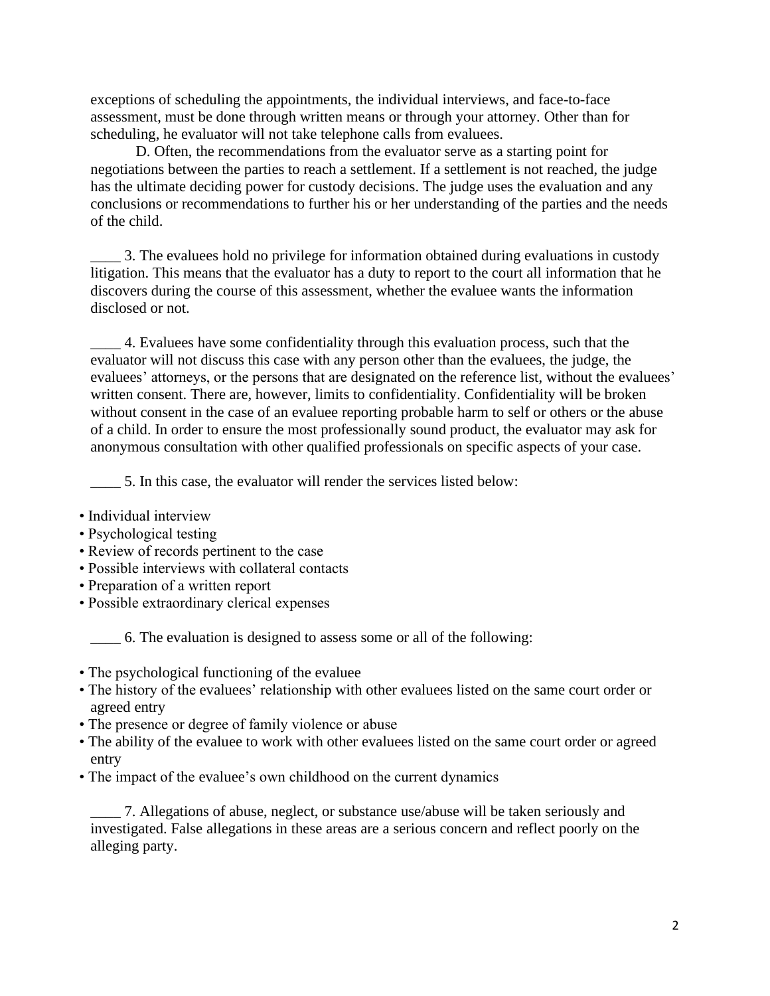exceptions of scheduling the appointments, the individual interviews, and face-to-face assessment, must be done through written means or through your attorney. Other than for scheduling, he evaluator will not take telephone calls from evaluees.

D. Often, the recommendations from the evaluator serve as a starting point for negotiations between the parties to reach a settlement. If a settlement is not reached, the judge has the ultimate deciding power for custody decisions. The judge uses the evaluation and any conclusions or recommendations to further his or her understanding of the parties and the needs of the child.

\_\_\_\_ 3. The evaluees hold no privilege for information obtained during evaluations in custody litigation. This means that the evaluator has a duty to report to the court all information that he discovers during the course of this assessment, whether the evaluee wants the information disclosed or not.

\_\_\_\_ 4. Evaluees have some confidentiality through this evaluation process, such that the evaluator will not discuss this case with any person other than the evaluees, the judge, the evaluees' attorneys, or the persons that are designated on the reference list, without the evaluees' written consent. There are, however, limits to confidentiality. Confidentiality will be broken without consent in the case of an evaluee reporting probable harm to self or others or the abuse of a child. In order to ensure the most professionally sound product, the evaluator may ask for anonymous consultation with other qualified professionals on specific aspects of your case.

\_\_\_\_ 5. In this case, the evaluator will render the services listed below:

- Individual interview
- Psychological testing
- Review of records pertinent to the case
- Possible interviews with collateral contacts
- Preparation of a written report
- Possible extraordinary clerical expenses

\_\_\_\_ 6. The evaluation is designed to assess some or all of the following:

- The psychological functioning of the evaluee
- The history of the evaluees' relationship with other evaluees listed on the same court order or agreed entry
- The presence or degree of family violence or abuse
- The ability of the evaluee to work with other evaluees listed on the same court order or agreed entry
- The impact of the evaluee's own childhood on the current dynamics

\_\_\_\_ 7. Allegations of abuse, neglect, or substance use/abuse will be taken seriously and investigated. False allegations in these areas are a serious concern and reflect poorly on the alleging party.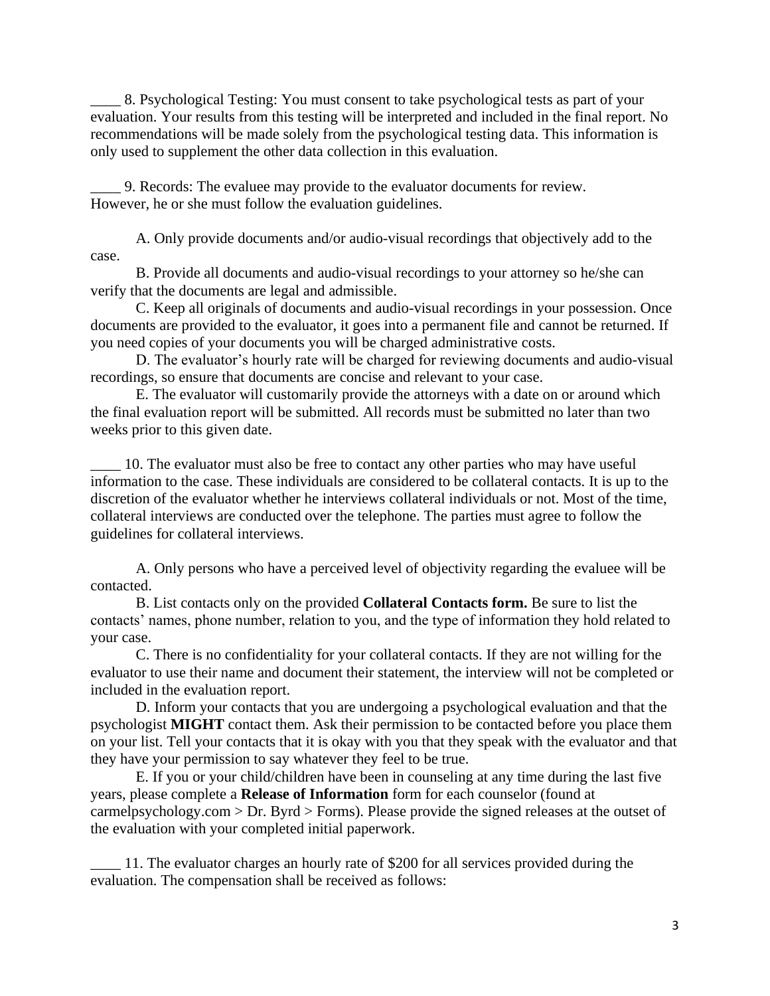8. Psychological Testing: You must consent to take psychological tests as part of your evaluation. Your results from this testing will be interpreted and included in the final report. No recommendations will be made solely from the psychological testing data. This information is only used to supplement the other data collection in this evaluation.

\_\_\_\_ 9. Records: The evaluee may provide to the evaluator documents for review. However, he or she must follow the evaluation guidelines.

A. Only provide documents and/or audio-visual recordings that objectively add to the case.

B. Provide all documents and audio-visual recordings to your attorney so he/she can verify that the documents are legal and admissible.

C. Keep all originals of documents and audio-visual recordings in your possession. Once documents are provided to the evaluator, it goes into a permanent file and cannot be returned. If you need copies of your documents you will be charged administrative costs.

D. The evaluator's hourly rate will be charged for reviewing documents and audio-visual recordings, so ensure that documents are concise and relevant to your case.

E. The evaluator will customarily provide the attorneys with a date on or around which the final evaluation report will be submitted. All records must be submitted no later than two weeks prior to this given date.

\_\_\_\_ 10. The evaluator must also be free to contact any other parties who may have useful information to the case. These individuals are considered to be collateral contacts. It is up to the discretion of the evaluator whether he interviews collateral individuals or not. Most of the time, collateral interviews are conducted over the telephone. The parties must agree to follow the guidelines for collateral interviews.

A. Only persons who have a perceived level of objectivity regarding the evaluee will be contacted.

B. List contacts only on the provided **Collateral Contacts form.** Be sure to list the contacts' names, phone number, relation to you, and the type of information they hold related to your case.

C. There is no confidentiality for your collateral contacts. If they are not willing for the evaluator to use their name and document their statement, the interview will not be completed or included in the evaluation report.

D. Inform your contacts that you are undergoing a psychological evaluation and that the psychologist **MIGHT** contact them. Ask their permission to be contacted before you place them on your list. Tell your contacts that it is okay with you that they speak with the evaluator and that they have your permission to say whatever they feel to be true.

E. If you or your child/children have been in counseling at any time during the last five years, please complete a **Release of Information** form for each counselor (found at carmelpsychology.com > Dr. Byrd > Forms). Please provide the signed releases at the outset of the evaluation with your completed initial paperwork.

\_\_\_\_ 11. The evaluator charges an hourly rate of \$200 for all services provided during the evaluation. The compensation shall be received as follows: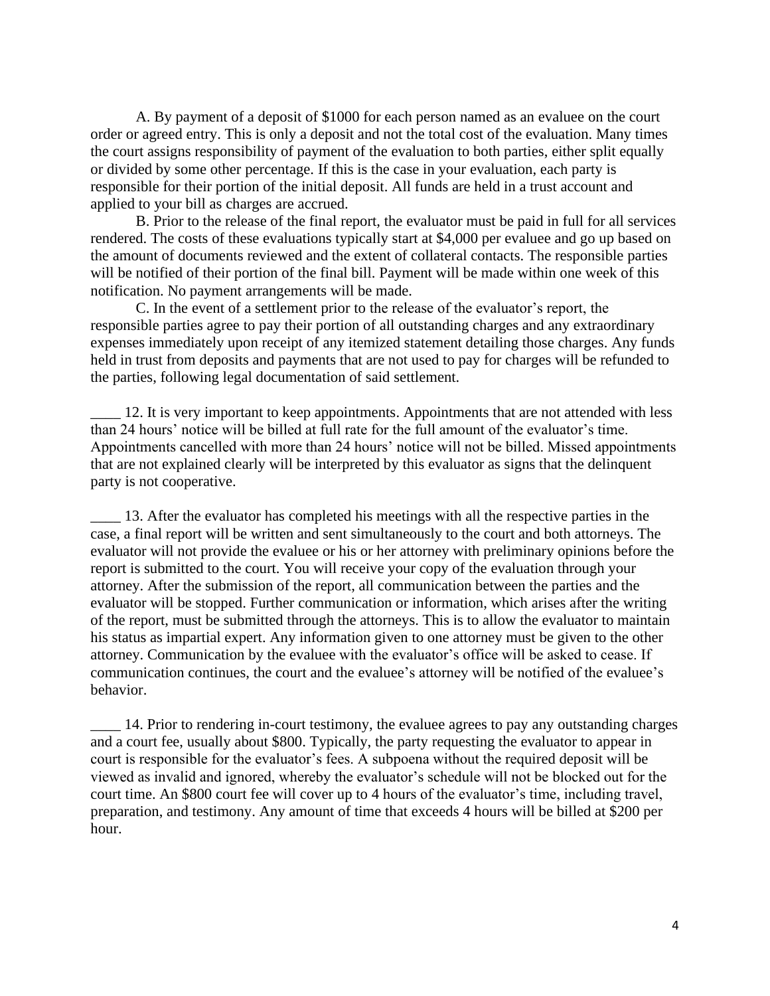A. By payment of a deposit of \$1000 for each person named as an evaluee on the court order or agreed entry. This is only a deposit and not the total cost of the evaluation. Many times the court assigns responsibility of payment of the evaluation to both parties, either split equally or divided by some other percentage. If this is the case in your evaluation, each party is responsible for their portion of the initial deposit. All funds are held in a trust account and applied to your bill as charges are accrued.

B. Prior to the release of the final report, the evaluator must be paid in full for all services rendered. The costs of these evaluations typically start at \$4,000 per evaluee and go up based on the amount of documents reviewed and the extent of collateral contacts. The responsible parties will be notified of their portion of the final bill. Payment will be made within one week of this notification. No payment arrangements will be made.

C. In the event of a settlement prior to the release of the evaluator's report, the responsible parties agree to pay their portion of all outstanding charges and any extraordinary expenses immediately upon receipt of any itemized statement detailing those charges. Any funds held in trust from deposits and payments that are not used to pay for charges will be refunded to the parties, following legal documentation of said settlement.

\_\_\_\_ 12. It is very important to keep appointments. Appointments that are not attended with less than 24 hours' notice will be billed at full rate for the full amount of the evaluator's time. Appointments cancelled with more than 24 hours' notice will not be billed. Missed appointments that are not explained clearly will be interpreted by this evaluator as signs that the delinquent party is not cooperative.

\_\_\_\_ 13. After the evaluator has completed his meetings with all the respective parties in the case, a final report will be written and sent simultaneously to the court and both attorneys. The evaluator will not provide the evaluee or his or her attorney with preliminary opinions before the report is submitted to the court. You will receive your copy of the evaluation through your attorney. After the submission of the report, all communication between the parties and the evaluator will be stopped. Further communication or information, which arises after the writing of the report, must be submitted through the attorneys. This is to allow the evaluator to maintain his status as impartial expert. Any information given to one attorney must be given to the other attorney. Communication by the evaluee with the evaluator's office will be asked to cease. If communication continues, the court and the evaluee's attorney will be notified of the evaluee's behavior.

\_\_\_\_ 14. Prior to rendering in-court testimony, the evaluee agrees to pay any outstanding charges and a court fee, usually about \$800. Typically, the party requesting the evaluator to appear in court is responsible for the evaluator's fees. A subpoena without the required deposit will be viewed as invalid and ignored, whereby the evaluator's schedule will not be blocked out for the court time. An \$800 court fee will cover up to 4 hours of the evaluator's time, including travel, preparation, and testimony. Any amount of time that exceeds 4 hours will be billed at \$200 per hour.